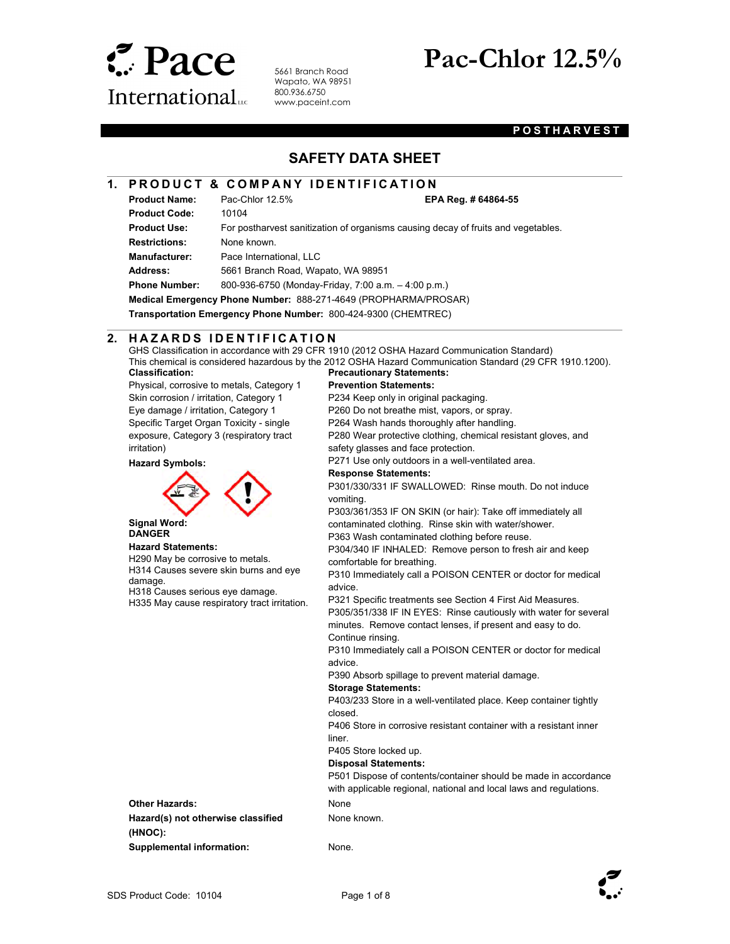

5661 Branch Road Wapato, WA 98951 800.936.6750 www.paceint.com

# **Pac-Chlor 12.5%**

## **POSTHARVEST**

# **SAFETY DATA SHEET**

## **1. PRODUCT & COMPANY IDENTIFICATION**

**Product Name:** Pac-Chlor 12.5% **EPA Reg. # 64864-55** 

 $\overline{\phantom{a}}$ 

**Product Code:** 10104 Product Use: For postharvest sanitization of organisms causing decay of fruits and vegetables. **Restrictions:** None known. **Manufacturer:** Pace International, LLC **Address:** 5661 Branch Road, Wapato, WA 98951 **Phone Number:** 800-936-6750 (Monday-Friday, 7:00 a.m. – 4:00 p.m.) **Medical Emergency Phone Number:** 888-271-4649 (PROPHARMA/PROSAR)

**Transportation Emergency Phone Number:** 800-424-9300 (CHEMTREC)

#### l **2. H A Z A R D S I D E N T I F I C A T I O N**

GHS Classification in accordance with 29 CFR 1910 (2012 OSHA Hazard Communication Standard) This chemical is considered hazardous by the 2012 OSHA Hazard Communication Standard (29 CFR 1910.1200). **Precautionary Statements:** 

**Classification:** 

Physical, corrosive to metals, Category 1 Skin corrosion / irritation, Category 1 Eye damage / irritation, Category 1 Specific Target Organ Toxicity - single exposure, Category 3 (respiratory tract irritation)

#### **Hazard Symbols:**



 **Signal Word: DANGER** 

#### **Hazard Statements:**

H290 May be corrosive to metals. H314 Causes severe skin burns and eye damage.

H318 Causes serious eye damage. H335 May cause respiratory tract irritation.

# **Prevention Statements:**

P234 Keep only in original packaging.

P260 Do not breathe mist, vapors, or spray.

P264 Wash hands thoroughly after handling.

P280 Wear protective clothing, chemical resistant gloves, and safety glasses and face protection.

P271 Use only outdoors in a well-ventilated area.

#### **Response Statements:**

P301/330/331 IF SWALLOWED: Rinse mouth. Do not induce vomiting.

P303/361/353 IF ON SKIN (or hair): Take off immediately all contaminated clothing. Rinse skin with water/shower.

P363 Wash contaminated clothing before reuse.

P304/340 IF INHALED: Remove person to fresh air and keep comfortable for breathing.

P310 Immediately call a POISON CENTER or doctor for medical advice.

P321 Specific treatments see Section 4 First Aid Measures. P305/351/338 IF IN EYES: Rinse cautiously with water for several minutes. Remove contact lenses, if present and easy to do. Continue rinsing.

P310 Immediately call a POISON CENTER or doctor for medical advice.

P390 Absorb spillage to prevent material damage.

#### **Storage Statements:**

P403/233 Store in a well-ventilated place. Keep container tightly closed.

P406 Store in corrosive resistant container with a resistant inner liner.

#### P405 Store locked up.

**Disposal Statements:** 

P501 Dispose of contents/container should be made in accordance with applicable regional, national and local laws and regulations.

**Other Hazards:** None **Hazard(s) not otherwise classified (HNOC): Supplemental information:** None.

None known.

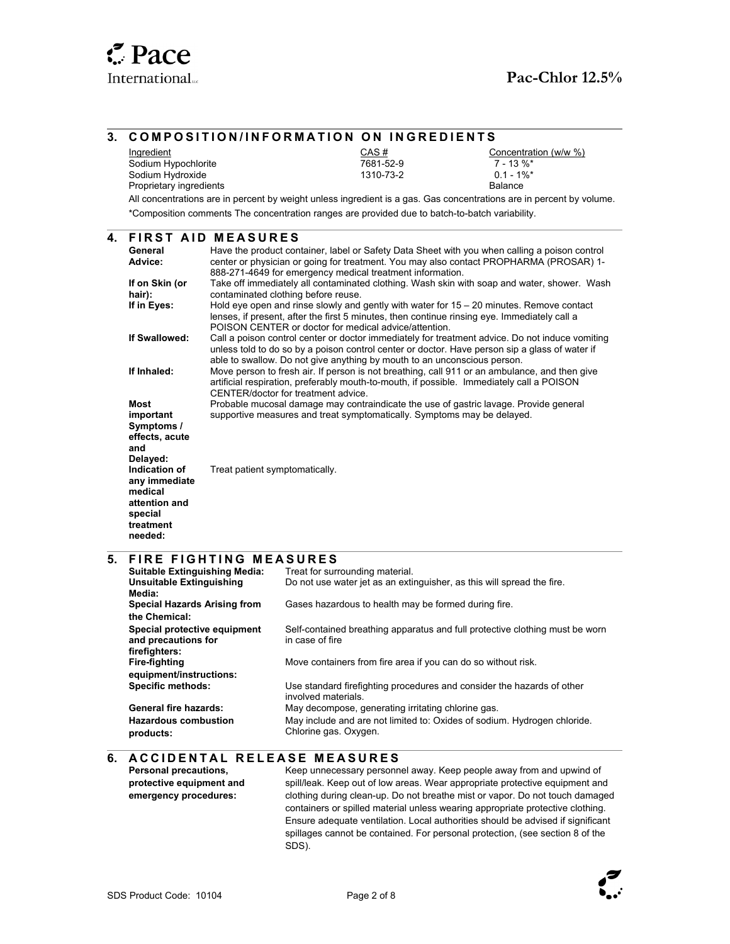#### $\overline{\phantom{a}}$ **3. COMPOSITION/INFORMATION ON INGREDIENTS Ingredient** Sodium Hypochlorite Sodium Hydroxide Proprietary ingredients CAS # 7681-52-9 1310-73-2 Concentration (w/w %) 7 - 13 %\*  $0.1 - 1\%$ \* Balance All concentrations are in percent by weight unless ingredient is a gas. Gas concentrations are in percent by volume. \*Composition comments The concentration ranges are provided due to batch-to-batch variability.  $\overline{a}$ **4. F I R S T A I D M E A S U R E S General Advice:**  Have the product container, label or Safety Data Sheet with you when calling a poison control center or physician or going for treatment. You may also contact PROPHARMA (PROSAR) 1- 888-271-4649 for emergency medical treatment information. **If on Skin (or hair):** Take off immediately all contaminated clothing. Wash skin with soap and water, shower. Wash contaminated clothing before reuse. **If in Eyes:** Hold eye open and rinse slowly and gently with water for 15 – 20 minutes. Remove contact lenses, if present, after the first 5 minutes, then continue rinsing eye. Immediately call a POISON CENTER or doctor for medical advice/attention. **If Swallowed:** Call a poison control center or doctor immediately for treatment advice. Do not induce vomiting unless told to do so by a poison control center or doctor. Have person sip a glass of water if able to swallow. Do not give anything by mouth to an unconscious person. **If Inhaled:** Move person to fresh air. If person is not breathing, call 911 or an ambulance, and then give artificial respiration, preferably mouth-to-mouth, if possible. Immediately call a POISON CENTER/doctor for treatment advice. **Most important Symptoms / effects, acute and Delayed:**  Probable mucosal damage may contraindicate the use of gastric lavage. Provide general supportive measures and treat symptomatically. Symptoms may be delayed. **Indication of any immediate medical attention and special treatment needed:**  Treat patient symptomatically.  $\overline{\phantom{a}}$ **5. FIRE FIGHTING MEASURES Suitable Extinguishing Media:** Treat for surrounding material. **Unsuitable Extinguishing Media:**  Do not use water jet as an extinguisher, as this will spread the fire. **Special Hazards Arising from the Chemical:**  Gases hazardous to health may be formed during fire. **Special protective equipment and precautions for firefighters:** Self-contained breathing apparatus and full protective clothing must be worn in case of fire **Fire-fighting equipment/instructions:**  Move containers from fire area if you can do so without risk. **Specific methods:** Use standard firefighting procedures and consider the hazards of other involved materials. General fire hazards: May decompose, generating irritating chlorine gas. **Hazardous combustion products:**  May include and are not limited to: Oxides of sodium. Hydrogen chloride. Chlorine gas. Oxygen.  $\overline{a}$ **6. ACCIDENTAL RELEASE MEASURES Personal precautions, protective equipment and emergency procedures:** Keep unnecessary personnel away. Keep people away from and upwind of spill/leak. Keep out of low areas. Wear appropriate protective equipment and clothing during clean-up. Do not breathe mist or vapor. Do not touch damaged

containers or spilled material unless wearing appropriate protective clothing. Ensure adequate ventilation. Local authorities should be advised if significant spillages cannot be contained. For personal protection, (see section 8 of the SDS).

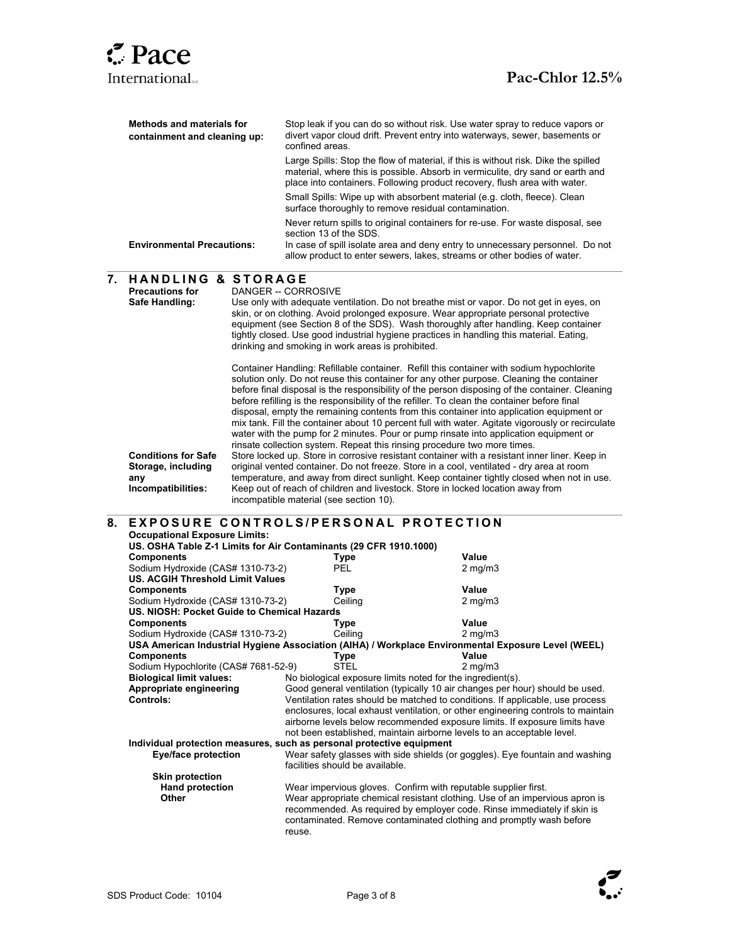

 $\overline{a}$ 

| Methods and materials for<br>containment and cleaning up: | Stop leak if you can do so without risk. Use water spray to reduce vapors or<br>divert vapor cloud drift. Prevent entry into waterways, sewer, basements or<br>confined areas.                                                                                       |
|-----------------------------------------------------------|----------------------------------------------------------------------------------------------------------------------------------------------------------------------------------------------------------------------------------------------------------------------|
|                                                           | Large Spills: Stop the flow of material, if this is without risk. Dike the spilled<br>material, where this is possible. Absorb in vermiculite, dry sand or earth and<br>place into containers. Following product recovery, flush area with water.                    |
|                                                           | Small Spills: Wipe up with absorbent material (e.g. cloth, fleece). Clean<br>surface thoroughly to remove residual contamination.                                                                                                                                    |
| <b>Environmental Precautions:</b>                         | Never return spills to original containers for re-use. For waste disposal, see<br>section 13 of the SDS.<br>In case of spill isolate area and deny entry to unnecessary personnel. Do not<br>allow product to enter sewers, lakes, streams or other bodies of water. |

| <b>HANDLING &amp; STORAGE</b><br>7.<br><b>Precautions for</b><br>Safe Handling: |                                                                                                                         |  | DANGER -- CORROSIVE<br>Use only with adequate ventilation. Do not breathe mist or vapor. Do not get in eyes, on<br>skin, or on clothing. Avoid prolonged exposure. Wear appropriate personal protective<br>equipment (see Section 8 of the SDS). Wash thoroughly after handling. Keep container<br>tightly closed. Use good industrial hygiene practices in handling this material. Eating,<br>drinking and smoking in work areas is prohibited. |                                                                              |  |                                                                                                                                                                                                                                                                                                                                                                                                                                                                                                                                                                                                                                                                                                                                                                                                                                                                                                                                                                                                                                                                                                                                          |  |
|---------------------------------------------------------------------------------|-------------------------------------------------------------------------------------------------------------------------|--|--------------------------------------------------------------------------------------------------------------------------------------------------------------------------------------------------------------------------------------------------------------------------------------------------------------------------------------------------------------------------------------------------------------------------------------------------|------------------------------------------------------------------------------|--|------------------------------------------------------------------------------------------------------------------------------------------------------------------------------------------------------------------------------------------------------------------------------------------------------------------------------------------------------------------------------------------------------------------------------------------------------------------------------------------------------------------------------------------------------------------------------------------------------------------------------------------------------------------------------------------------------------------------------------------------------------------------------------------------------------------------------------------------------------------------------------------------------------------------------------------------------------------------------------------------------------------------------------------------------------------------------------------------------------------------------------------|--|
|                                                                                 | <b>Conditions for Safe</b><br>Storage, including<br>any<br>Incompatibilities:                                           |  | incompatible material (see section 10).                                                                                                                                                                                                                                                                                                                                                                                                          |                                                                              |  | Container Handling: Refillable container. Refill this container with sodium hypochlorite<br>solution only. Do not reuse this container for any other purpose. Cleaning the container<br>before final disposal is the responsibility of the person disposing of the container. Cleaning<br>before refilling is the responsibility of the refiller. To clean the container before final<br>disposal, empty the remaining contents from this container into application equipment or<br>mix tank. Fill the container about 10 percent full with water. Agitate vigorously or recirculate<br>water with the pump for 2 minutes. Pour or pump rinsate into application equipment or<br>rinsate collection system. Repeat this rinsing procedure two more times.<br>Store locked up. Store in corrosive resistant container with a resistant inner liner. Keep in<br>original vented container. Do not freeze. Store in a cool, ventilated - dry area at room<br>temperature, and away from direct sunlight. Keep container tightly closed when not in use.<br>Keep out of reach of children and livestock. Store in locked location away from |  |
| 8.                                                                              | <b>EXPOSURE CONTROLS/PERSONAL PROTECTION</b>                                                                            |  |                                                                                                                                                                                                                                                                                                                                                                                                                                                  |                                                                              |  |                                                                                                                                                                                                                                                                                                                                                                                                                                                                                                                                                                                                                                                                                                                                                                                                                                                                                                                                                                                                                                                                                                                                          |  |
|                                                                                 | <b>Occupational Exposure Limits:</b>                                                                                    |  |                                                                                                                                                                                                                                                                                                                                                                                                                                                  |                                                                              |  |                                                                                                                                                                                                                                                                                                                                                                                                                                                                                                                                                                                                                                                                                                                                                                                                                                                                                                                                                                                                                                                                                                                                          |  |
|                                                                                 | US. OSHA Table Z-1 Limits for Air Contaminants (29 CFR 1910.1000)                                                       |  |                                                                                                                                                                                                                                                                                                                                                                                                                                                  |                                                                              |  |                                                                                                                                                                                                                                                                                                                                                                                                                                                                                                                                                                                                                                                                                                                                                                                                                                                                                                                                                                                                                                                                                                                                          |  |
|                                                                                 | <b>Components</b>                                                                                                       |  | <b>Type</b>                                                                                                                                                                                                                                                                                                                                                                                                                                      |                                                                              |  | Value                                                                                                                                                                                                                                                                                                                                                                                                                                                                                                                                                                                                                                                                                                                                                                                                                                                                                                                                                                                                                                                                                                                                    |  |
|                                                                                 | Sodium Hydroxide (CAS# 1310-73-2)                                                                                       |  | <b>PEL</b>                                                                                                                                                                                                                                                                                                                                                                                                                                       |                                                                              |  | $2$ mg/m $3$                                                                                                                                                                                                                                                                                                                                                                                                                                                                                                                                                                                                                                                                                                                                                                                                                                                                                                                                                                                                                                                                                                                             |  |
|                                                                                 | <b>US. ACGIH Threshold Limit Values</b>                                                                                 |  |                                                                                                                                                                                                                                                                                                                                                                                                                                                  |                                                                              |  |                                                                                                                                                                                                                                                                                                                                                                                                                                                                                                                                                                                                                                                                                                                                                                                                                                                                                                                                                                                                                                                                                                                                          |  |
|                                                                                 | <b>Components</b><br>Sodium Hydroxide (CAS# 1310-73-2)                                                                  |  | Type<br>Ceiling                                                                                                                                                                                                                                                                                                                                                                                                                                  |                                                                              |  | Value<br>$2$ mg/m $3$                                                                                                                                                                                                                                                                                                                                                                                                                                                                                                                                                                                                                                                                                                                                                                                                                                                                                                                                                                                                                                                                                                                    |  |
|                                                                                 | US. NIOSH: Pocket Guide to Chemical Hazards                                                                             |  |                                                                                                                                                                                                                                                                                                                                                                                                                                                  |                                                                              |  |                                                                                                                                                                                                                                                                                                                                                                                                                                                                                                                                                                                                                                                                                                                                                                                                                                                                                                                                                                                                                                                                                                                                          |  |
|                                                                                 | <b>Components</b>                                                                                                       |  | <b>Type</b>                                                                                                                                                                                                                                                                                                                                                                                                                                      |                                                                              |  | Value                                                                                                                                                                                                                                                                                                                                                                                                                                                                                                                                                                                                                                                                                                                                                                                                                                                                                                                                                                                                                                                                                                                                    |  |
|                                                                                 | Sodium Hydroxide (CAS# 1310-73-2)                                                                                       |  | Ceiling                                                                                                                                                                                                                                                                                                                                                                                                                                          |                                                                              |  | $2 \text{ mg/m}$                                                                                                                                                                                                                                                                                                                                                                                                                                                                                                                                                                                                                                                                                                                                                                                                                                                                                                                                                                                                                                                                                                                         |  |
|                                                                                 |                                                                                                                         |  |                                                                                                                                                                                                                                                                                                                                                                                                                                                  |                                                                              |  |                                                                                                                                                                                                                                                                                                                                                                                                                                                                                                                                                                                                                                                                                                                                                                                                                                                                                                                                                                                                                                                                                                                                          |  |
|                                                                                 | USA American Industrial Hygiene Association (AIHA) / Workplace Environmental Exposure Level (WEEL)<br><b>Components</b> |  | Type                                                                                                                                                                                                                                                                                                                                                                                                                                             |                                                                              |  | Value                                                                                                                                                                                                                                                                                                                                                                                                                                                                                                                                                                                                                                                                                                                                                                                                                                                                                                                                                                                                                                                                                                                                    |  |
|                                                                                 | Sodium Hypochlorite (CAS# 7681-52-9)                                                                                    |  | <b>STEL</b>                                                                                                                                                                                                                                                                                                                                                                                                                                      |                                                                              |  | $2 \text{ mg/m}$ 3                                                                                                                                                                                                                                                                                                                                                                                                                                                                                                                                                                                                                                                                                                                                                                                                                                                                                                                                                                                                                                                                                                                       |  |
|                                                                                 | <b>Biological limit values:</b>                                                                                         |  | No biological exposure limits noted for the ingredient(s).                                                                                                                                                                                                                                                                                                                                                                                       |                                                                              |  |                                                                                                                                                                                                                                                                                                                                                                                                                                                                                                                                                                                                                                                                                                                                                                                                                                                                                                                                                                                                                                                                                                                                          |  |
|                                                                                 | Appropriate engineering                                                                                                 |  |                                                                                                                                                                                                                                                                                                                                                                                                                                                  |                                                                              |  | Good general ventilation (typically 10 air changes per hour) should be used.                                                                                                                                                                                                                                                                                                                                                                                                                                                                                                                                                                                                                                                                                                                                                                                                                                                                                                                                                                                                                                                             |  |
|                                                                                 | Controls:                                                                                                               |  |                                                                                                                                                                                                                                                                                                                                                                                                                                                  |                                                                              |  | Ventilation rates should be matched to conditions. If applicable, use process                                                                                                                                                                                                                                                                                                                                                                                                                                                                                                                                                                                                                                                                                                                                                                                                                                                                                                                                                                                                                                                            |  |
|                                                                                 |                                                                                                                         |  |                                                                                                                                                                                                                                                                                                                                                                                                                                                  |                                                                              |  | enclosures, local exhaust ventilation, or other engineering controls to maintain                                                                                                                                                                                                                                                                                                                                                                                                                                                                                                                                                                                                                                                                                                                                                                                                                                                                                                                                                                                                                                                         |  |
|                                                                                 |                                                                                                                         |  |                                                                                                                                                                                                                                                                                                                                                                                                                                                  |                                                                              |  | airborne levels below recommended exposure limits. If exposure limits have                                                                                                                                                                                                                                                                                                                                                                                                                                                                                                                                                                                                                                                                                                                                                                                                                                                                                                                                                                                                                                                               |  |
|                                                                                 |                                                                                                                         |  |                                                                                                                                                                                                                                                                                                                                                                                                                                                  |                                                                              |  | not been established, maintain airborne levels to an acceptable level.                                                                                                                                                                                                                                                                                                                                                                                                                                                                                                                                                                                                                                                                                                                                                                                                                                                                                                                                                                                                                                                                   |  |
|                                                                                 | Individual protection measures, such as personal protective equipment                                                   |  |                                                                                                                                                                                                                                                                                                                                                                                                                                                  |                                                                              |  |                                                                                                                                                                                                                                                                                                                                                                                                                                                                                                                                                                                                                                                                                                                                                                                                                                                                                                                                                                                                                                                                                                                                          |  |
|                                                                                 | Eye/face protection                                                                                                     |  |                                                                                                                                                                                                                                                                                                                                                                                                                                                  | Wear safety glasses with side shields (or goggles). Eye fountain and washing |  |                                                                                                                                                                                                                                                                                                                                                                                                                                                                                                                                                                                                                                                                                                                                                                                                                                                                                                                                                                                                                                                                                                                                          |  |
|                                                                                 | <b>Skin protection</b>                                                                                                  |  | facilities should be available.                                                                                                                                                                                                                                                                                                                                                                                                                  |                                                                              |  |                                                                                                                                                                                                                                                                                                                                                                                                                                                                                                                                                                                                                                                                                                                                                                                                                                                                                                                                                                                                                                                                                                                                          |  |
|                                                                                 | <b>Hand protection</b>                                                                                                  |  |                                                                                                                                                                                                                                                                                                                                                                                                                                                  |                                                                              |  | Wear impervious gloves. Confirm with reputable supplier first.                                                                                                                                                                                                                                                                                                                                                                                                                                                                                                                                                                                                                                                                                                                                                                                                                                                                                                                                                                                                                                                                           |  |
|                                                                                 | Other                                                                                                                   |  |                                                                                                                                                                                                                                                                                                                                                                                                                                                  |                                                                              |  | Wear appropriate chemical resistant clothing. Use of an impervious apron is                                                                                                                                                                                                                                                                                                                                                                                                                                                                                                                                                                                                                                                                                                                                                                                                                                                                                                                                                                                                                                                              |  |
|                                                                                 |                                                                                                                         |  | reuse.                                                                                                                                                                                                                                                                                                                                                                                                                                           |                                                                              |  | recommended. As required by employer code. Rinse immediately if skin is<br>contaminated. Remove contaminated clothing and promptly wash before                                                                                                                                                                                                                                                                                                                                                                                                                                                                                                                                                                                                                                                                                                                                                                                                                                                                                                                                                                                           |  |
|                                                                                 |                                                                                                                         |  |                                                                                                                                                                                                                                                                                                                                                                                                                                                  |                                                                              |  |                                                                                                                                                                                                                                                                                                                                                                                                                                                                                                                                                                                                                                                                                                                                                                                                                                                                                                                                                                                                                                                                                                                                          |  |

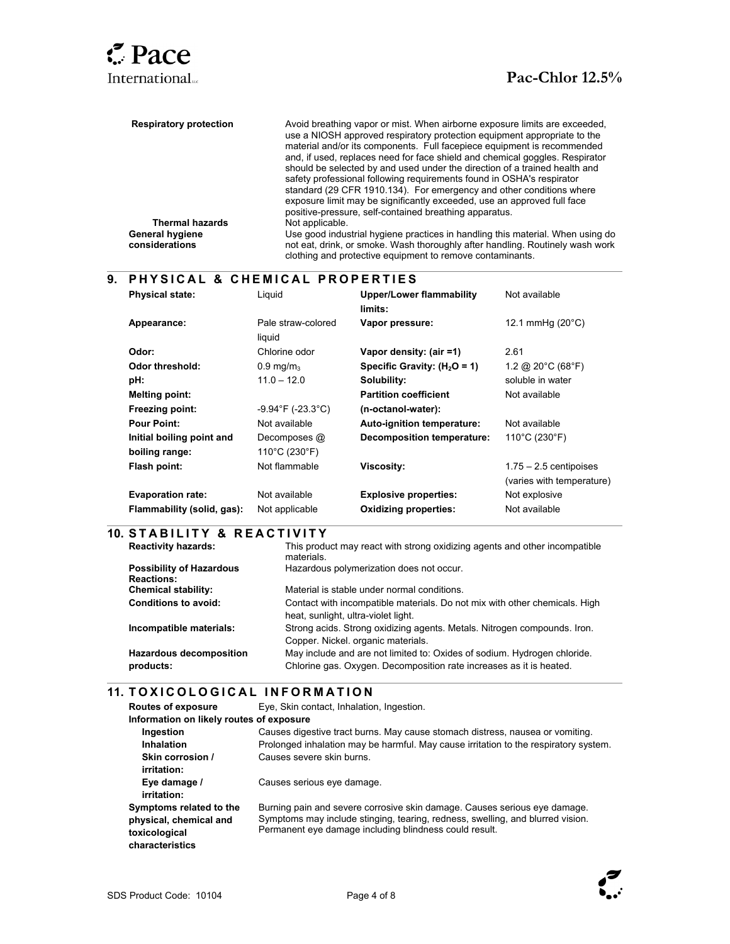$\overline{a}$ 

l

l

| <b>Respiratory protection</b> | Avoid breathing vapor or mist. When airborne exposure limits are exceeded.<br>use a NIOSH approved respiratory protection equipment appropriate to the<br>material and/or its components. Full facepiece equipment is recommended<br>and, if used, replaces need for face shield and chemical goggles. Respirator<br>should be selected by and used under the direction of a trained health and<br>safety professional following requirements found in OSHA's respirator<br>standard (29 CFR 1910.134). For emergency and other conditions where<br>exposure limit may be significantly exceeded, use an approved full face |
|-------------------------------|-----------------------------------------------------------------------------------------------------------------------------------------------------------------------------------------------------------------------------------------------------------------------------------------------------------------------------------------------------------------------------------------------------------------------------------------------------------------------------------------------------------------------------------------------------------------------------------------------------------------------------|
| <b>Thermal hazards</b>        | positive-pressure, self-contained breathing apparatus.                                                                                                                                                                                                                                                                                                                                                                                                                                                                                                                                                                      |
|                               | Not applicable.                                                                                                                                                                                                                                                                                                                                                                                                                                                                                                                                                                                                             |
| <b>General hygiene</b>        | Use good industrial hygiene practices in handling this material. When using do                                                                                                                                                                                                                                                                                                                                                                                                                                                                                                                                              |
| considerations                | not eat, drink, or smoke. Wash thoroughly after handling. Routinely wash work<br>clothing and protective equipment to remove contaminants.                                                                                                                                                                                                                                                                                                                                                                                                                                                                                  |

# **9. P H Y S I C A L & C H E M I C A L P R O P E R T I E S**

| <b>Physical state:</b>     | Liguid                       | <b>Upper/Lower flammability</b><br>limits: | Not available                           |
|----------------------------|------------------------------|--------------------------------------------|-----------------------------------------|
| Appearance:                | Pale straw-colored<br>liquid | Vapor pressure:                            | 12.1 mmHg $(20^{\circ}C)$               |
| Odor:                      | Chlorine odor                | Vapor density: (air =1)                    | 2.61                                    |
| Odor threshold:            | $0.9$ mg/m <sub>3</sub>      | Specific Gravity: $(H2O = 1)$              | 1.2 @ 20 $^{\circ}$ C (68 $^{\circ}$ F) |
| pH:                        | $11.0 - 12.0$                | Solubility:                                | soluble in water                        |
| <b>Melting point:</b>      |                              | <b>Partition coefficient</b>               | Not available                           |
| Freezing point:            | $-9.94$ °F (-23.3°C)         | (n-octanol-water):                         |                                         |
| <b>Pour Point:</b>         | Not available                | Auto-ignition temperature:                 | Not available                           |
| Initial boiling point and  | Decomposes @                 | <b>Decomposition temperature:</b>          | 110°C (230°F)                           |
| boiling range:             | 110°C (230°F)                |                                            |                                         |
| Flash point:               | Not flammable                | <b>Viscosity:</b>                          | $1.75 - 2.5$ centipoises                |
|                            |                              |                                            | (varies with temperature)               |
| <b>Evaporation rate:</b>   | Not available                | <b>Explosive properties:</b>               | Not explosive                           |
| Flammability (solid, gas): | Not applicable               | <b>Oxidizing properties:</b>               | Not available                           |

# **10. S T A B I L I T Y & R E A C T I V I T Y**

| <b>Reactivity hazards:</b>                           | This product may react with strong oxidizing agents and other incompatible<br>materials.                                                        |
|------------------------------------------------------|-------------------------------------------------------------------------------------------------------------------------------------------------|
| <b>Possibility of Hazardous</b><br><b>Reactions:</b> | Hazardous polymerization does not occur.                                                                                                        |
| <b>Chemical stability:</b>                           | Material is stable under normal conditions.                                                                                                     |
| <b>Conditions to avoid:</b>                          | Contact with incompatible materials. Do not mix with other chemicals. High<br>heat, sunlight, ultra-violet light.                               |
| Incompatible materials:                              | Strong acids. Strong oxidizing agents. Metals. Nitrogen compounds. Iron.<br>Copper. Nickel. organic materials.                                  |
| <b>Hazardous decomposition</b><br>products:          | May include and are not limited to: Oxides of sodium. Hydrogen chloride.<br>Chlorine gas. Oxygen. Decomposition rate increases as it is heated. |

# **11. TOXICOLOGICAL INFORMATION**

| <b>Routes of exposure</b>                | Eye, Skin contact, Inhalation, Ingestion.                                            |  |  |  |
|------------------------------------------|--------------------------------------------------------------------------------------|--|--|--|
| Information on likely routes of exposure |                                                                                      |  |  |  |
| Ingestion                                | Causes digestive tract burns. May cause stomach distress, nausea or vomiting.        |  |  |  |
| <b>Inhalation</b>                        | Prolonged inhalation may be harmful. May cause irritation to the respiratory system. |  |  |  |
| Skin corrosion /                         | Causes severe skin burns.                                                            |  |  |  |
| irritation:                              |                                                                                      |  |  |  |
| Eye damage /                             | Causes serious eye damage.                                                           |  |  |  |
| irritation:                              |                                                                                      |  |  |  |
| Symptoms related to the                  | Burning pain and severe corrosive skin damage. Causes serious eye damage.            |  |  |  |
| physical, chemical and                   | Symptoms may include stinging, tearing, redness, swelling, and blurred vision.       |  |  |  |
| toxicological                            | Permanent eye damage including blindness could result.                               |  |  |  |
| characteristics                          |                                                                                      |  |  |  |

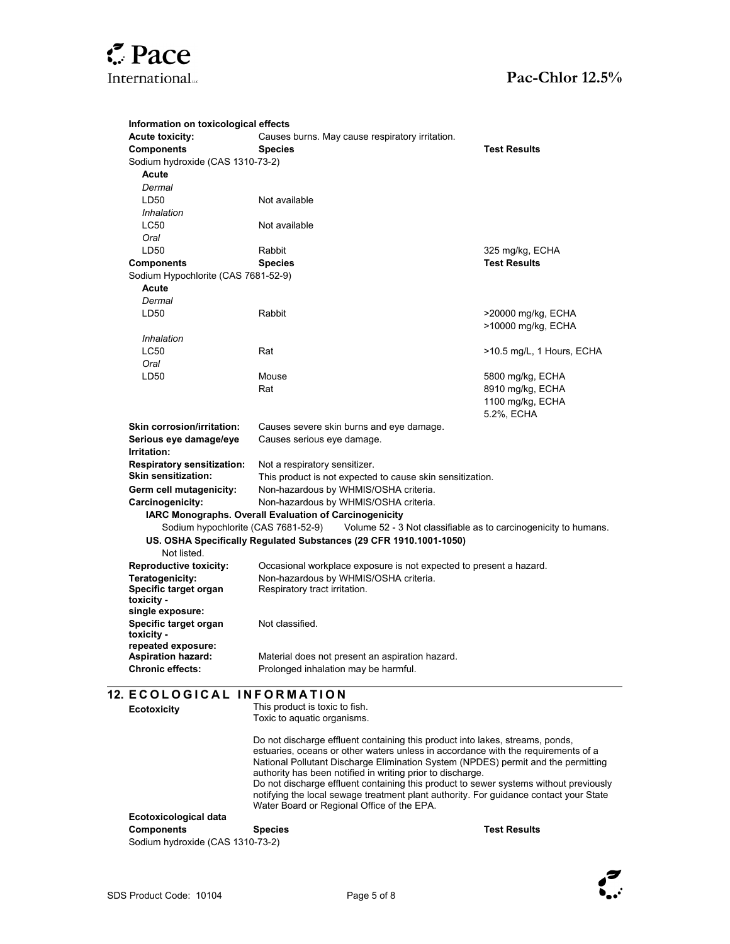

| Information on toxicological effects |                                                                                                                                                                                                           |                                        |  |
|--------------------------------------|-----------------------------------------------------------------------------------------------------------------------------------------------------------------------------------------------------------|----------------------------------------|--|
| <b>Acute toxicity:</b>               | Causes burns. May cause respiratory irritation.                                                                                                                                                           |                                        |  |
| <b>Components</b>                    | <b>Species</b>                                                                                                                                                                                            | <b>Test Results</b>                    |  |
| Sodium hydroxide (CAS 1310-73-2)     |                                                                                                                                                                                                           |                                        |  |
| Acute                                |                                                                                                                                                                                                           |                                        |  |
| Dermal                               |                                                                                                                                                                                                           |                                        |  |
| LD50                                 | Not available                                                                                                                                                                                             |                                        |  |
| Inhalation                           |                                                                                                                                                                                                           |                                        |  |
| <b>LC50</b>                          | Not available                                                                                                                                                                                             |                                        |  |
| Oral                                 |                                                                                                                                                                                                           |                                        |  |
| LD50                                 | Rabbit                                                                                                                                                                                                    |                                        |  |
|                                      |                                                                                                                                                                                                           | 325 mg/kg, ECHA<br><b>Test Results</b> |  |
| <b>Components</b>                    | <b>Species</b>                                                                                                                                                                                            |                                        |  |
| Sodium Hypochlorite (CAS 7681-52-9)  |                                                                                                                                                                                                           |                                        |  |
| Acute                                |                                                                                                                                                                                                           |                                        |  |
| Dermal                               |                                                                                                                                                                                                           |                                        |  |
| LD50                                 | Rabbit                                                                                                                                                                                                    | >20000 mg/kg, ECHA                     |  |
|                                      |                                                                                                                                                                                                           | >10000 mg/kg, ECHA                     |  |
| Inhalation                           |                                                                                                                                                                                                           |                                        |  |
| <b>LC50</b>                          | Rat                                                                                                                                                                                                       | >10.5 mg/L, 1 Hours, ECHA              |  |
| Oral                                 |                                                                                                                                                                                                           |                                        |  |
| LD50                                 | Mouse                                                                                                                                                                                                     | 5800 mg/kg, ECHA                       |  |
|                                      | Rat                                                                                                                                                                                                       | 8910 mg/kg, ECHA                       |  |
|                                      |                                                                                                                                                                                                           | 1100 mg/kg, ECHA                       |  |
|                                      |                                                                                                                                                                                                           | 5.2%, ECHA                             |  |
| <b>Skin corrosion/irritation:</b>    | Causes severe skin burns and eye damage.                                                                                                                                                                  |                                        |  |
| Serious eye damage/eye               | Causes serious eye damage.                                                                                                                                                                                |                                        |  |
| Irritation:                          |                                                                                                                                                                                                           |                                        |  |
| <b>Respiratory sensitization:</b>    |                                                                                                                                                                                                           |                                        |  |
| Skin sensitization:                  | Not a respiratory sensitizer.                                                                                                                                                                             |                                        |  |
|                                      | This product is not expected to cause skin sensitization.                                                                                                                                                 |                                        |  |
| Germ cell mutagenicity:              | Non-hazardous by WHMIS/OSHA criteria.                                                                                                                                                                     |                                        |  |
| Carcinogenicity:                     | Non-hazardous by WHMIS/OSHA criteria.<br>IARC Monographs. Overall Evaluation of Carcinogenicity<br>Sodium hypochlorite (CAS 7681-52-9)<br>Volume 52 - 3 Not classifiable as to carcinogenicity to humans. |                                        |  |
|                                      |                                                                                                                                                                                                           |                                        |  |
|                                      |                                                                                                                                                                                                           |                                        |  |
|                                      | US. OSHA Specifically Regulated Substances (29 CFR 1910.1001-1050)                                                                                                                                        |                                        |  |
| Not listed.                          |                                                                                                                                                                                                           |                                        |  |
| <b>Reproductive toxicity:</b>        | Occasional workplace exposure is not expected to present a hazard.                                                                                                                                        |                                        |  |
| Teratogenicity:                      | Non-hazardous by WHMIS/OSHA criteria.                                                                                                                                                                     |                                        |  |
| Specific target organ                | Respiratory tract irritation.                                                                                                                                                                             |                                        |  |
| toxicity -                           |                                                                                                                                                                                                           |                                        |  |
| single exposure:                     |                                                                                                                                                                                                           |                                        |  |
| Specific target organ                | Not classified.                                                                                                                                                                                           |                                        |  |
| toxicity -                           |                                                                                                                                                                                                           |                                        |  |
| repeated exposure:                   |                                                                                                                                                                                                           |                                        |  |
| <b>Aspiration hazard:</b>            | Material does not present an aspiration hazard.                                                                                                                                                           |                                        |  |
| <b>Chronic effects:</b>              | Prolonged inhalation may be harmful.                                                                                                                                                                      |                                        |  |
|                                      |                                                                                                                                                                                                           |                                        |  |
| <b>12. ECOLOGICAL INFORMATION</b>    |                                                                                                                                                                                                           |                                        |  |
| <b>Ecotoxicity</b>                   | This product is toxic to fish.                                                                                                                                                                            |                                        |  |
|                                      | Toxic to aquatic organisms.                                                                                                                                                                               |                                        |  |
|                                      |                                                                                                                                                                                                           |                                        |  |
|                                      | Do not discharge effluent containing this product into lakes, streams, ponds,                                                                                                                             |                                        |  |
|                                      | estuaries, oceans or other waters unless in accordance with the requirements of a                                                                                                                         |                                        |  |
|                                      | National Pollutant Discharge Elimination System (NPDES) permit and the permitting<br>authority has been notified in writing prior to discharge.                                                           |                                        |  |
|                                      | Do not discharge effluent containing this product to sewer systems without previously                                                                                                                     |                                        |  |
|                                      | notifying the local sewage treatment plant authority. For guidance contact your State                                                                                                                     |                                        |  |
|                                      | Water Board or Regional Office of the EPA.                                                                                                                                                                |                                        |  |
| Ecotoxicological data                |                                                                                                                                                                                                           |                                        |  |
| <b>Components</b>                    | <b>Species</b>                                                                                                                                                                                            | <b>Test Results</b>                    |  |
|                                      |                                                                                                                                                                                                           |                                        |  |

Sodium hydroxide (CAS 1310-73-2)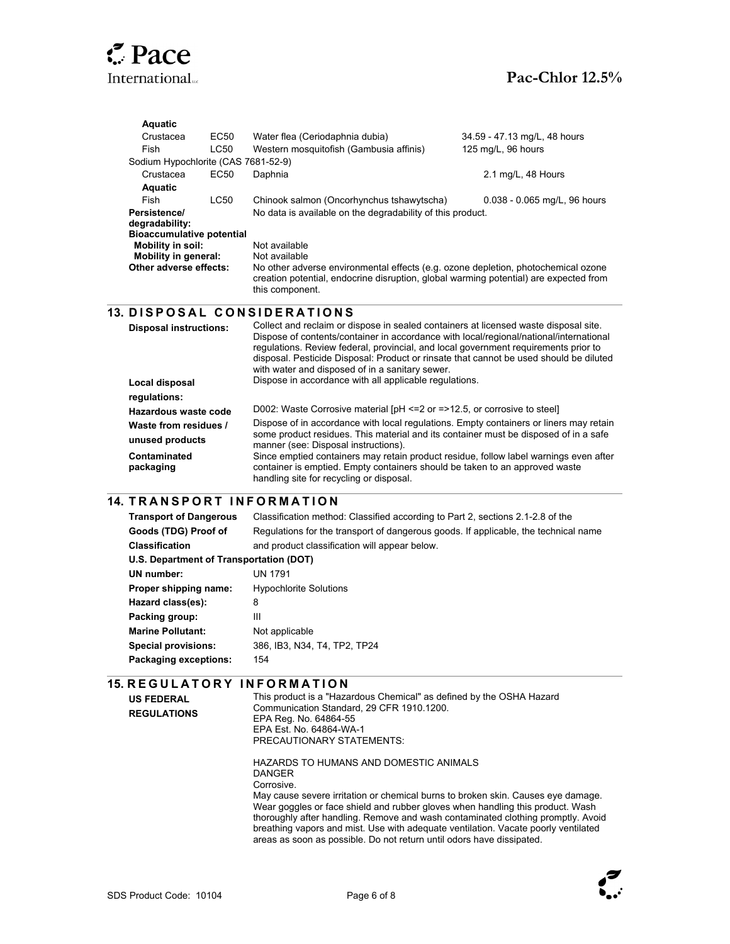# $Z$  Pace

|  | <b>Aquatic</b>                                                       |      |                                                                                                                                                                                                                                 |                              |  |
|--|----------------------------------------------------------------------|------|---------------------------------------------------------------------------------------------------------------------------------------------------------------------------------------------------------------------------------|------------------------------|--|
|  | Crustacea                                                            | EC50 | Water flea (Ceriodaphnia dubia)                                                                                                                                                                                                 | 34.59 - 47.13 mg/L, 48 hours |  |
|  | Fish                                                                 | LC50 | Western mosquitofish (Gambusia affinis)                                                                                                                                                                                         | 125 mg/L, 96 hours           |  |
|  | Sodium Hypochlorite (CAS 7681-52-9)<br>Crustacea<br>EC <sub>50</sub> |      |                                                                                                                                                                                                                                 |                              |  |
|  |                                                                      |      | Daphnia                                                                                                                                                                                                                         | 2.1 mg/L, 48 Hours           |  |
|  | Aquatic                                                              |      |                                                                                                                                                                                                                                 |                              |  |
|  | Fish                                                                 | LC50 | Chinook salmon (Oncorhynchus tshawytscha)                                                                                                                                                                                       | 0.038 - 0.065 mg/L, 96 hours |  |
|  | Persistence/                                                         |      | No data is available on the degradability of this product.                                                                                                                                                                      |                              |  |
|  | degradability:                                                       |      |                                                                                                                                                                                                                                 |                              |  |
|  | <b>Bioaccumulative potential</b>                                     |      |                                                                                                                                                                                                                                 |                              |  |
|  | Mobility in soil:<br><b>Mobility in general:</b>                     |      | Not available<br>Not available<br>No other adverse environmental effects (e.g. ozone depletion, photochemical ozone<br>creation potential, endocrine disruption, global warming potential) are expected from<br>this component. |                              |  |
|  | Other adverse effects:                                               |      |                                                                                                                                                                                                                                 |                              |  |
|  |                                                                      |      |                                                                                                                                                                                                                                 |                              |  |
|  |                                                                      |      |                                                                                                                                                                                                                                 |                              |  |
|  |                                                                      |      |                                                                                                                                                                                                                                 |                              |  |
|  |                                                                      |      |                                                                                                                                                                                                                                 |                              |  |
|  |                                                                      |      | <b>13. DISPOSAL CONSIDERATIONS</b>                                                                                                                                                                                              |                              |  |
|  | <b>Disposal instructions:</b>                                        |      | Collect and reclaim or dispose in sealed containers at licensed waste disposal site.                                                                                                                                            |                              |  |
|  |                                                                      |      | Dispose of contents/container in accordance with local/regional/national/international<br>requiations. Review federal, provincial, and local government requirements prior to                                                   |                              |  |
|  |                                                                      |      | disposal. Pesticide Disposal: Product or rinsate that cannot be used should be diluted                                                                                                                                          |                              |  |
|  |                                                                      |      | with water and disposed of in a sanitary sewer.                                                                                                                                                                                 |                              |  |
|  | Local disposal                                                       |      | Dispose in accordance with all applicable regulations.                                                                                                                                                                          |                              |  |
|  | regulations:                                                         |      |                                                                                                                                                                                                                                 |                              |  |
|  | Hazardous waste code                                                 |      | D002: Waste Corrosive material [pH <= 2 or = > 12.5, or corrosive to steel]                                                                                                                                                     |                              |  |
|  | Waste from residues /                                                |      | Dispose of in accordance with local regulations. Empty containers or liners may retain                                                                                                                                          |                              |  |
|  |                                                                      |      | some product residues. This material and its container must be disposed of in a safe                                                                                                                                            |                              |  |
|  | unused products                                                      |      | manner (see: Disposal instructions).                                                                                                                                                                                            |                              |  |
|  | Contaminated<br>packaging                                            |      | Since emptied containers may retain product residue, follow label warnings even after<br>container is emptied. Empty containers should be taken to an approved waste                                                            |                              |  |

#### $\overline{\phantom{a}}$ **14. TRANSPORT INFORMATION**

| <b>Transport of Dangerous</b>           | Classification method: Classified according to Part 2, sections 2.1-2.8 of the      |  |
|-----------------------------------------|-------------------------------------------------------------------------------------|--|
| Goods (TDG) Proof of                    | Regulations for the transport of dangerous goods. If applicable, the technical name |  |
| <b>Classification</b>                   | and product classification will appear below.                                       |  |
| U.S. Department of Transportation (DOT) |                                                                                     |  |
| UN number:                              | UN 1791                                                                             |  |
| Proper shipping name:                   | <b>Hypochlorite Solutions</b>                                                       |  |
| Hazard class(es):                       | 8                                                                                   |  |
| Packing group:                          | Ш                                                                                   |  |
| <b>Marine Pollutant:</b>                | Not applicable                                                                      |  |
| <b>Special provisions:</b>              | 386. IB3, N34, T4, TP2, TP24                                                        |  |
| Packaging exceptions:                   | 154                                                                                 |  |

# **15. REGULATORY INFORMATION**

This product is a "Hazardous Chemical" as defined by the OSHA Hazard Communication Standard, 29 CFR 1910.1200. EPA Reg. No. 64864-55 EPA Est. No. 64864-WA-1 PRECAUTIONARY STATEMENTS:

HAZARDS TO HUMANS AND DOMESTIC ANIMALS DANGER Corrosive. May cause severe irritation or chemical burns to broken skin. Causes eye damage. Wear goggles or face shield and rubber gloves when handling this product. Wash thoroughly after handling. Remove and wash contaminated clothing promptly. Avoid breathing vapors and mist. Use with adequate ventilation. Vacate poorly ventilated areas as soon as possible. Do not return until odors have dissipated.



**US FEDERAL REGULATIONS** 

l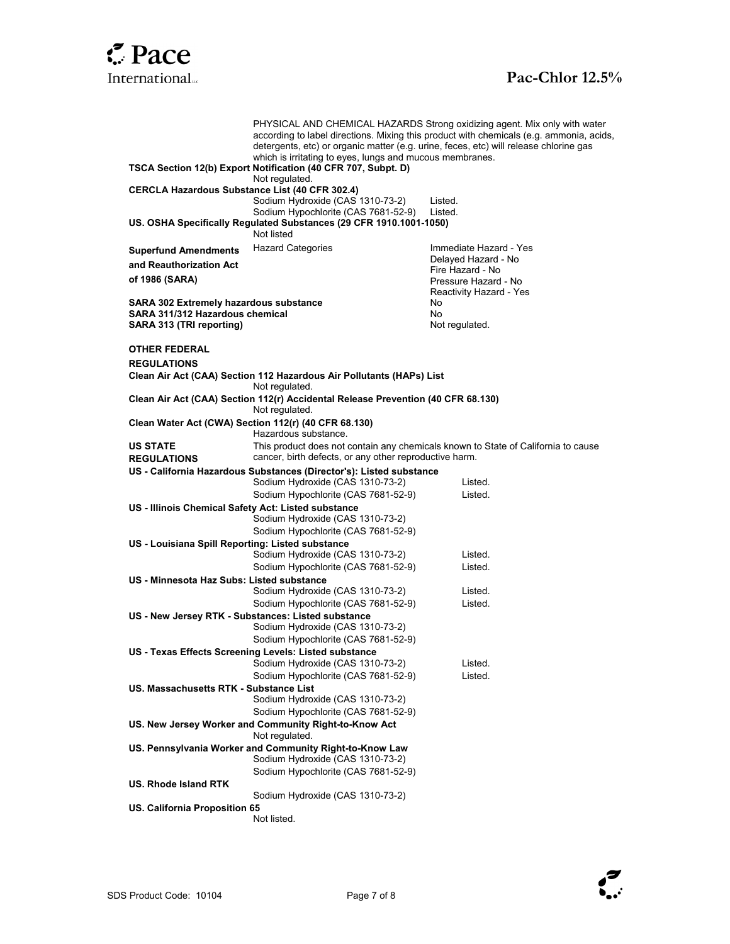

# International<sub>"</sub> **Pac-Chlor 12.5% Pac-Chlor 12.5%**

PHYSICAL AND CHEMICAL HAZARDS Strong oxidizing agent. Mix only with water according to label directions. Mixing this product with chemicals (e.g. ammonia, acids, detergents, etc) or organic matter (e.g. urine, feces, etc) will release chlorine gas which is irritating to eyes, lungs and mucous membranes. **TSCA Section 12(b) Export Notification (40 CFR 707, Subpt. D)** Not regulated. **CERCLA Hazardous Substance List (40 CFR 302.4)**  Sodium Hydroxide (CAS 1310-73-2) Listed. Sodium Hypochlorite (CAS 7681-52-9) Listed. **US. OSHA Specifically Regulated Substances (29 CFR 1910.1001-1050)** Not listed **Superfund Amendments and Reauthorization Act of 1986 (SARA)**  Hazard Categories **Immediate Hazard - Yes** Delayed Hazard - No Fire Hazard - No Pressure Hazard - No Reactivity Hazard - Yes **SARA 302 Extremely hazardous substance** No **SARA 311/312 Hazardous chemical and all controls and all controls of the SARA 313 (TRI reporting)** and **SARA 313 (TRI reporting) SARA 313 (TRI reporting) OTHER FEDERAL REGULATIONS Clean Air Act (CAA) Section 112 Hazardous Air Pollutants (HAPs) List** Not regulated. **Clean Air Act (CAA) Section 112(r) Accidental Release Prevention (40 CFR 68.130)** Not regulated. **Clean Water Act (CWA) Section 112(r) (40 CFR 68.130)**  Hazardous substance. **US STATE REGULATIONS**  This product does not contain any chemicals known to State of California to cause cancer, birth defects, or any other reproductive harm. **US - California Hazardous Substances (Director's): Listed substance** Sodium Hydroxide (CAS 1310-73-2) Listed. Sodium Hypochlorite (CAS 7681-52-9) Listed. **US - Illinois Chemical Safety Act: Listed substance** Sodium Hydroxide (CAS 1310-73-2) Sodium Hypochlorite (CAS 7681-52-9) **US - Louisiana Spill Reporting: Listed substance** Sodium Hydroxide (CAS 1310-73-2) Listed. Sodium Hypochlorite (CAS 7681-52-9) Listed. **US - Minnesota Haz Subs: Listed substance** Sodium Hydroxide (CAS 1310-73-2) Listed. Sodium Hypochlorite (CAS 7681-52-9) Listed. **US - New Jersey RTK - Substances: Listed substance** Sodium Hydroxide (CAS 1310-73-2) Sodium Hypochlorite (CAS 7681-52-9) **US - Texas Effects Screening Levels: Listed substance** Sodium Hydroxide (CAS 1310-73-2) Listed. Sodium Hypochlorite (CAS 7681-52-9) Listed. **US. Massachusetts RTK - Substance List** Sodium Hydroxide (CAS 1310-73-2) Sodium Hypochlorite (CAS 7681-52-9) **US. New Jersey Worker and Community Right-to-Know Act**  Not regulated. **US. Pennsylvania Worker and Community Right-to-Know Law** Sodium Hydroxide (CAS 1310-73-2) Sodium Hypochlorite (CAS 7681-52-9) **US. Rhode Island RTK**  Sodium Hydroxide (CAS 1310-73-2) **US. California Proposition 65**  Not listed.